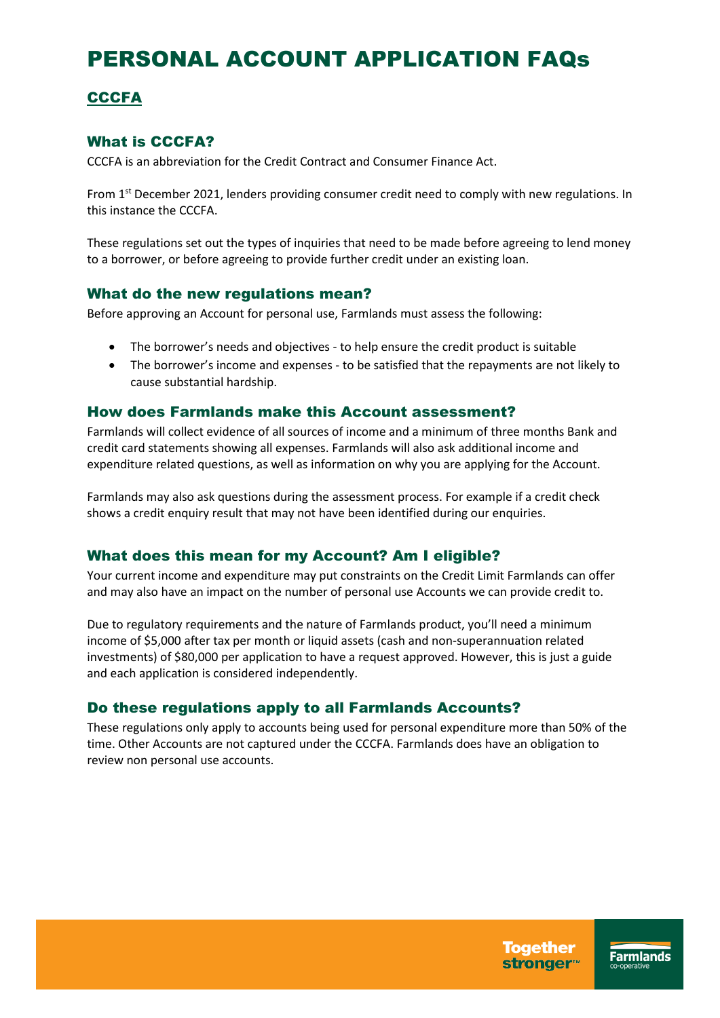# **CCCFA**

# What is CCCFA?

CCCFA is an abbreviation for the Credit Contract and Consumer Finance Act.

From  $1<sup>st</sup>$  December 2021, lenders providing consumer credit need to comply with new regulations. In this instance the CCCFA.

These regulations set out the types of inquiries that need to be made before agreeing to lend money to a borrower, or before agreeing to provide further credit under an existing loan.

### What do the new regulations mean?

Before approving an Account for personal use, Farmlands must assess the following:

- The borrower's needs and objectives to help ensure the credit product is suitable
- The borrower's income and expenses to be satisfied that the repayments are not likely to cause substantial hardship.

### How does Farmlands make this Account assessment?

Farmlands will collect evidence of all sources of income and a minimum of three months Bank and credit card statements showing all expenses. Farmlands will also ask additional income and expenditure related questions, as well as information on why you are applying for the Account.

Farmlands may also ask questions during the assessment process. For example if a credit check shows a credit enquiry result that may not have been identified during our enquiries.

## What does this mean for my Account? Am I eligible?

Your current income and expenditure may put constraints on the Credit Limit Farmlands can offer and may also have an impact on the number of personal use Accounts we can provide credit to.

Due to regulatory requirements and the nature of Farmlands product, you'll need a minimum income of \$5,000 after tax per month or liquid assets (cash and non-superannuation related investments) of \$80,000 per application to have a request approved. However, this is just a guide and each application is considered independently.

## Do these regulations apply to all Farmlands Accounts?

These regulations only apply to accounts being used for personal expenditure more than 50% of the time. Other Accounts are not captured under the CCCFA. Farmlands does have an obligation to review non personal use accounts.

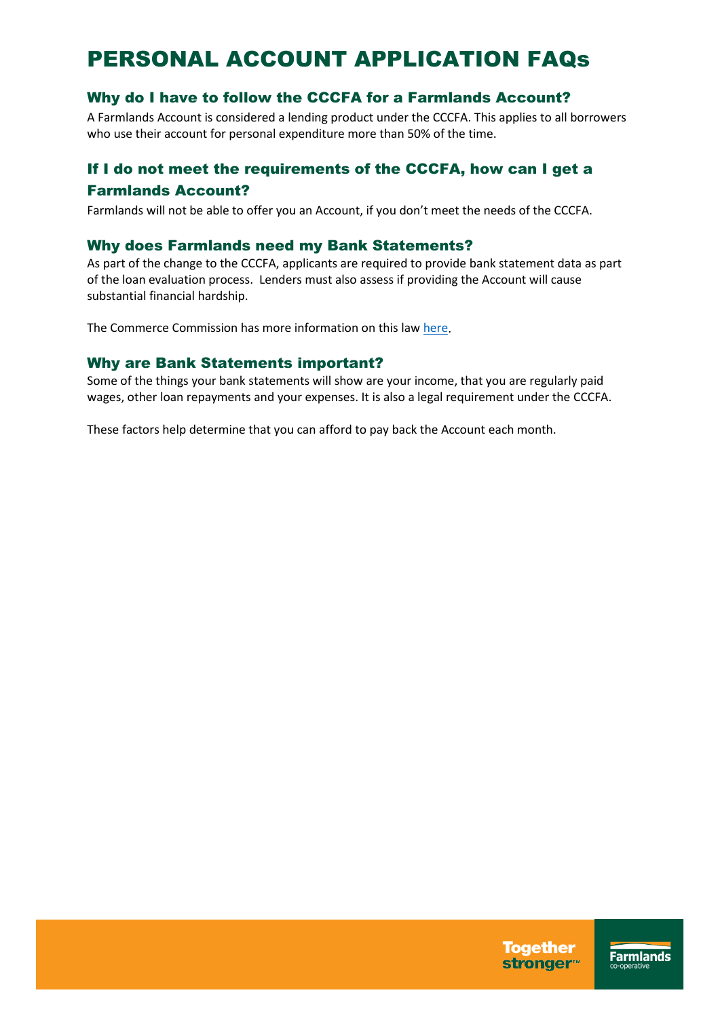# Why do I have to follow the CCCFA for a Farmlands Account?

A Farmlands Account is considered a lending product under the CCCFA. This applies to all borrowers who use their account for personal expenditure more than 50% of the time.

# If I do not meet the requirements of the CCCFA, how can I get a Farmlands Account?

Farmlands will not be able to offer you an Account, if you don't meet the needs of the CCCFA.

## Why does Farmlands need my Bank Statements?

As part of the change to the CCCFA, applicants are required to provide bank statement data as part of the loan evaluation process. Lenders must also assess if providing the Account will cause substantial financial hardship.

The Commerce Commission has more information on this law [here.](https://comcom.govt.nz/consumers/dealing-with-typical-situations/borrowing-money-and-buying-on-credit/what-you-can-expect-from-your-lender)

### Why are Bank Statements important?

Some of the things your bank statements will show are your income, that you are regularly paid wages, other loan repayments and your expenses. It is also a legal requirement under the CCCFA.

These factors help determine that you can afford to pay back the Account each month.

**Together** stronger™

**Farmlands**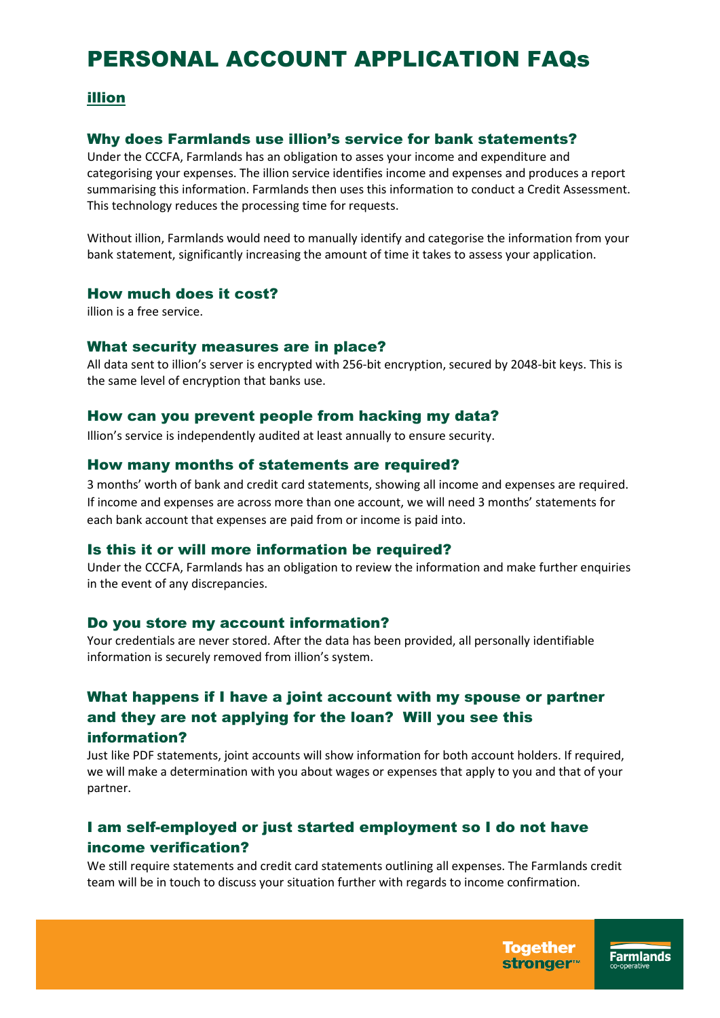### illion

### Why does Farmlands use illion's service for bank statements?

Under the CCCFA, Farmlands has an obligation to asses your income and expenditure and categorising your expenses. The illion service identifies income and expenses and produces a report summarising this information. Farmlands then uses this information to conduct a Credit Assessment. This technology reduces the processing time for requests.

Without illion, Farmlands would need to manually identify and categorise the information from your bank statement, significantly increasing the amount of time it takes to assess your application.

#### How much does it cost?

illion is a free service.

#### What security measures are in place?

All data sent to illion's server is encrypted with 256-bit encryption, secured by 2048-bit keys. This is the same level of encryption that banks use.

#### How can you prevent people from hacking my data?

Illion's service is independently audited at least annually to ensure security.

#### How many months of statements are required?

3 months' worth of bank and credit card statements, showing all income and expenses are required. If income and expenses are across more than one account, we will need 3 months' statements for each bank account that expenses are paid from or income is paid into.

#### Is this it or will more information be required?

Under the CCCFA, Farmlands has an obligation to review the information and make further enquiries in the event of any discrepancies.

#### Do you store my account information?

Your credentials are never stored. After the data has been provided, all personally identifiable information is securely removed from illion's system.

# What happens if I have a joint account with my spouse or partner and they are not applying for the loan? Will you see this information?

Just like PDF statements, joint accounts will show information for both account holders. If required, we will make a determination with you about wages or expenses that apply to you and that of your partner.

# I am self-employed or just started employment so I do not have income verification?

We still require statements and credit card statements outlining all expenses. The Farmlands credit team will be in touch to discuss your situation further with regards to income confirmation.

> **Together Farmlands** stronger™